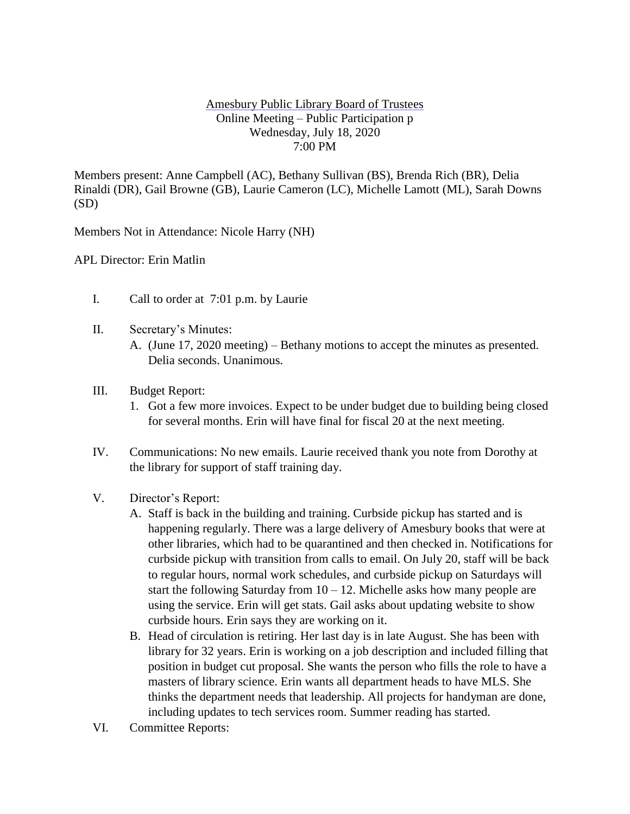## Amesbury Public Library Board of Trustees Online Meeting – Public Participation p Wednesday, July 18, 2020 7:00 PM

Members present: Anne Campbell (AC), Bethany Sullivan (BS), Brenda Rich (BR), Delia Rinaldi (DR), Gail Browne (GB), Laurie Cameron (LC), Michelle Lamott (ML), Sarah Downs (SD)

Members Not in Attendance: Nicole Harry (NH)

APL Director: Erin Matlin

- I. Call to order at 7:01 p.m. by Laurie
- II. Secretary's Minutes:
	- A. (June 17, 2020 meeting) Bethany motions to accept the minutes as presented. Delia seconds. Unanimous.
- III. Budget Report:
	- 1. Got a few more invoices. Expect to be under budget due to building being closed for several months. Erin will have final for fiscal 20 at the next meeting.
- IV. Communications: No new emails. Laurie received thank you note from Dorothy at the library for support of staff training day.
- V. Director's Report:
	- A. Staff is back in the building and training. Curbside pickup has started and is happening regularly. There was a large delivery of Amesbury books that were at other libraries, which had to be quarantined and then checked in. Notifications for curbside pickup with transition from calls to email. On July 20, staff will be back to regular hours, normal work schedules, and curbside pickup on Saturdays will start the following Saturday from  $10 - 12$ . Michelle asks how many people are using the service. Erin will get stats. Gail asks about updating website to show curbside hours. Erin says they are working on it.
	- B. Head of circulation is retiring. Her last day is in late August. She has been with library for 32 years. Erin is working on a job description and included filling that position in budget cut proposal. She wants the person who fills the role to have a masters of library science. Erin wants all department heads to have MLS. She thinks the department needs that leadership. All projects for handyman are done, including updates to tech services room. Summer reading has started.
- VI. Committee Reports: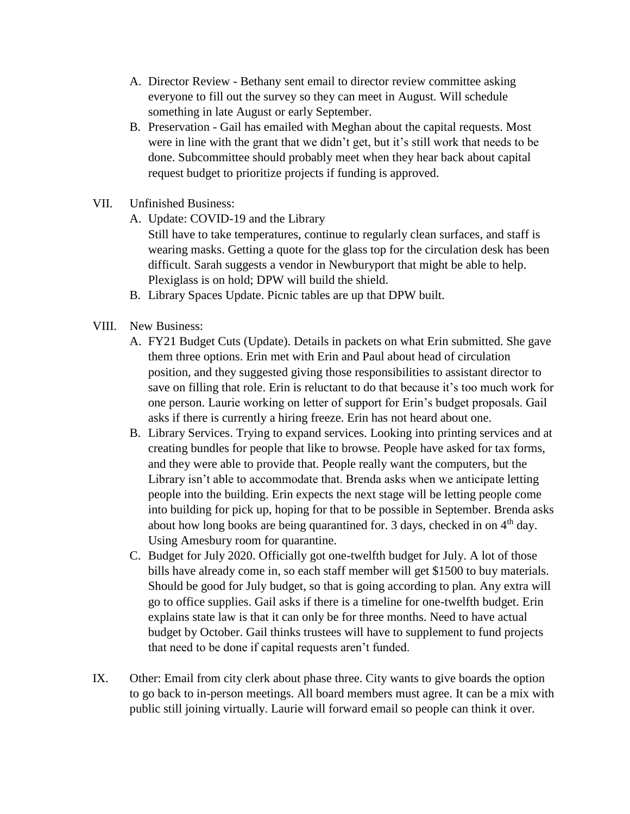- A. Director Review Bethany sent email to director review committee asking everyone to fill out the survey so they can meet in August. Will schedule something in late August or early September.
- B. Preservation Gail has emailed with Meghan about the capital requests. Most were in line with the grant that we didn't get, but it's still work that needs to be done. Subcommittee should probably meet when they hear back about capital request budget to prioritize projects if funding is approved.
- VII. Unfinished Business:
	- A. Update: COVID-19 and the Library

Still have to take temperatures, continue to regularly clean surfaces, and staff is wearing masks. Getting a quote for the glass top for the circulation desk has been difficult. Sarah suggests a vendor in Newburyport that might be able to help. Plexiglass is on hold; DPW will build the shield.

- B. Library Spaces Update. Picnic tables are up that DPW built.
- VIII. New Business:
	- A. FY21 Budget Cuts (Update). Details in packets on what Erin submitted. She gave them three options. Erin met with Erin and Paul about head of circulation position, and they suggested giving those responsibilities to assistant director to save on filling that role. Erin is reluctant to do that because it's too much work for one person. Laurie working on letter of support for Erin's budget proposals. Gail asks if there is currently a hiring freeze. Erin has not heard about one.
	- B. Library Services. Trying to expand services. Looking into printing services and at creating bundles for people that like to browse. People have asked for tax forms, and they were able to provide that. People really want the computers, but the Library isn't able to accommodate that. Brenda asks when we anticipate letting people into the building. Erin expects the next stage will be letting people come into building for pick up, hoping for that to be possible in September. Brenda asks about how long books are being quarantined for. 3 days, checked in on  $4<sup>th</sup>$  day. Using Amesbury room for quarantine.
	- C. Budget for July 2020. Officially got one-twelfth budget for July. A lot of those bills have already come in, so each staff member will get \$1500 to buy materials. Should be good for July budget, so that is going according to plan. Any extra will go to office supplies. Gail asks if there is a timeline for one-twelfth budget. Erin explains state law is that it can only be for three months. Need to have actual budget by October. Gail thinks trustees will have to supplement to fund projects that need to be done if capital requests aren't funded.
- IX. Other: Email from city clerk about phase three. City wants to give boards the option to go back to in-person meetings. All board members must agree. It can be a mix with public still joining virtually. Laurie will forward email so people can think it over.